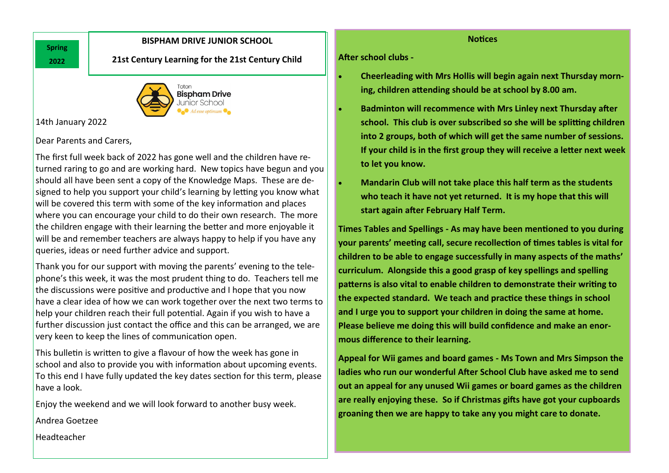# **Spring 2022**

## **BISPHAM DRIVE JUNIOR SCHOOL**

**21st Century Learning for the 21st Century Child**



14th January 2022

# Dear Parents and Carers,

The first full week back of 2022 has gone well and the children have returned raring to go and are working hard. New topics have begun and you should all have been sent a copy of the Knowledge Maps. These are designed to help you support your child's learning by letting you know what will be covered this term with some of the key information and places where you can encourage your child to do their own research. The more the children engage with their learning the better and more enjoyable it will be and remember teachers are always happy to help if you have any queries, ideas or need further advice and support.

Thank you for our support with moving the parents' evening to the telephone's this week, it was the most prudent thing to do. Teachers tell me the discussions were positive and productive and I hope that you now have a clear idea of how we can work together over the next two terms to help your children reach their full potential. Again if you wish to have a further discussion just contact the office and this can be arranged, we are very keen to keep the lines of communication open.

This bulletin is written to give a flavour of how the week has gone in school and also to provide you with information about upcoming events. To this end I have fully updated the key dates section for this term, please have a look.

Enjoy the weekend and we will look forward to another busy week.

Andrea Goetzee

**Notices**

## **After school clubs -**

- **Cheerleading with Mrs Hollis will begin again next Thursday morning, children attending should be at school by 8.00 am.**
- **Badminton will recommence with Mrs Linley next Thursday after school. This club is over subscribed so she will be splitting children into 2 groups, both of which will get the same number of sessions. If your child is in the first group they will receive a letter next week to let you know.**
- **Mandarin Club will not take place this half term as the students who teach it have not yet returned. It is my hope that this will start again after February Half Term.**

**Times Tables and Spellings - As may have been mentioned to you during your parents' meeting call, secure recollection of times tables is vital for children to be able to engage successfully in many aspects of the maths' curriculum. Alongside this a good grasp of key spellings and spelling patterns is also vital to enable children to demonstrate their writing to the expected standard. We teach and practice these things in school and I urge you to support your children in doing the same at home. Please believe me doing this will build confidence and make an enormous difference to their learning.**

**Appeal for Wii games and board games - Ms Town and Mrs Simpson the ladies who run our wonderful After School Club have asked me to send out an appeal for any unused Wii games or board games as the children are really enjoying these. So if Christmas gifts have got your cupboards groaning then we are happy to take any you might care to donate.**

Headteacher